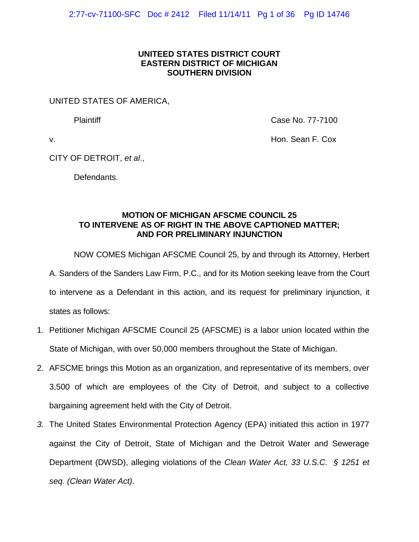### **UNITEED STATES DISTRICT COURT EASTERN DISTRICT OF MICHIGAN SOUTHERN DIVISION**

UNITED STATES OF AMERICA,

Plaintiff Case No. 77-7100

v. **Example 20** Sean F. Cox **Hon.** Sean F. Cox

CITY OF DETROIT, *et al*.,

Defendants.

### **MOTION OF MICHIGAN AFSCME COUNCIL 25 TO INTERVENE AS OF RIGHT IN THE ABOVE CAPTIONED MATTER; AND FOR PRELIMINARY INJUNCTION**

NOW COMES Michigan AFSCME Council 25, by and through its Attorney, Herbert

A. Sanders of the Sanders Law Firm, P.C., and for its Motion seeking leave from the Court

to intervene as a Defendant in this action, and its request for preliminary injunction, it

states as follows:

- 1. Petitioner Michigan AFSCME Council 25 (AFSCME) is a labor union located within the State of Michigan, with over 50,000 members throughout the State of Michigan.
- 2. AFSCME brings this Motion as an organization, and representative of its members, over 3,500 of which are employees of the City of Detroit, and subject to a collective bargaining agreement held with the City of Detroit.
- *3.* The United States Environmental Protection Agency (EPA) initiated this action in 1977 against the City of Detroit, State of Michigan and the Detroit Water and Sewerage Department (DWSD), alleging violations of the *Clean Water Act, 33 U.S.C. § 1251 et seq. (Clean Water Act).*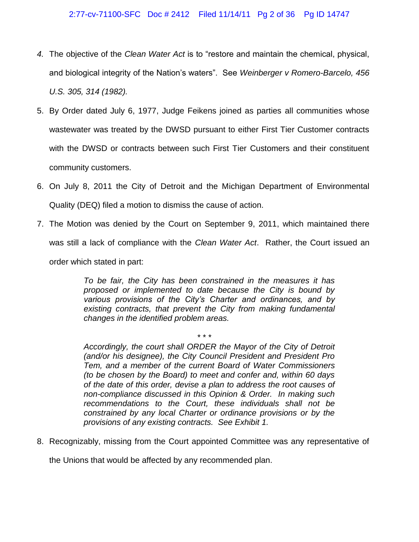- *4.* The objective of the *Clean Water Act* is to "restore and maintain the chemical, physical, and biological integrity of the Nation's waters". See *Weinberger v Romero-Barcelo, 456 U.S. 305, 314 (1982).*
- 5. By Order dated July 6, 1977, Judge Feikens joined as parties all communities whose wastewater was treated by the DWSD pursuant to either First Tier Customer contracts with the DWSD or contracts between such First Tier Customers and their constituent community customers.
- 6. On July 8, 2011 the City of Detroit and the Michigan Department of Environmental Quality (DEQ) filed a motion to dismiss the cause of action.
- 7. The Motion was denied by the Court on September 9, 2011, which maintained there was still a lack of compliance with the *Clean Water Act*. Rather, the Court issued an order which stated in part:

*To be fair, the City has been constrained in the measures it has proposed or implemented to date because the City is bound by various provisions of the City's Charter and ordinances, and by existing contracts, that prevent the City from making fundamental changes in the identified problem areas.* 

*\* \* \** 

*Accordingly, the court shall ORDER the Mayor of the City of Detroit (and/or his designee), the City Council President and President Pro Tem, and a member of the current Board of Water Commissioners (to be chosen by the Board) to meet and confer and, within 60 days of the date of this order, devise a plan to address the root causes of non-compliance discussed in this Opinion & Order. In making such recommendations to the Court, these individuals shall not be constrained by any local Charter or ordinance provisions or by the provisions of any existing contracts. See Exhibit 1.*

8. Recognizably, missing from the Court appointed Committee was any representative of

the Unions that would be affected by any recommended plan.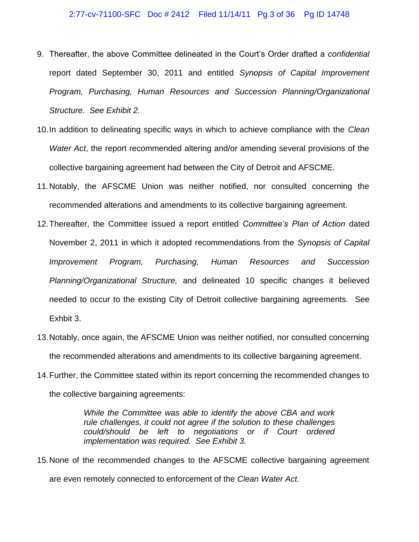#### 2:77-cv-71100-SFC Doc # 2412 Filed 11/14/11 Pg 3 of 36 Pg ID 14748

- 9. Thereafter, the above Committee delineated in the Court's Order drafted a *confidential*  report dated September 30, 2011 and entitled *Synopsis of Capital Improvement Program, Purchasing, Human Resources and Succession Planning/Organizational Structure. See Exhibit 2.*
- 10.In addition to delineating specific ways in which to achieve compliance with the *Clean Water Act*, the report recommended altering and/or amending several provisions of the collective bargaining agreement had between the City of Detroit and AFSCME.
- 11.Notably, the AFSCME Union was neither notified, nor consulted concerning the recommended alterations and amendments to its collective bargaining agreement.
- 12.Thereafter, the Committee issued a report entitled *Committee's Plan of Action* dated November 2, 2011 in which it adopted recommendations from the *Synopsis of Capital Improvement Program, Purchasing, Human Resources and Succession Planning/Organizational Structure,* and delineated 10 specific changes it believed needed to occur to the existing City of Detroit collective bargaining agreements. See Exhbit 3.
- 13.Notably, once again, the AFSCME Union was neither notified, nor consulted concerning the recommended alterations and amendments to its collective bargaining agreement.
- 14.Further, the Committee stated within its report concerning the recommended changes to the collective bargaining agreements:

*While the Committee was able to identify the above CBA and work rule challenges, it could not agree if the solution to these challenges could/should be left to negotiations or if Court ordered implementation was required. See Exhibit 3.*

15.None of the recommended changes to the AFSCME collective bargaining agreement are even remotely connected to enforcement of the *Clean Water Act*.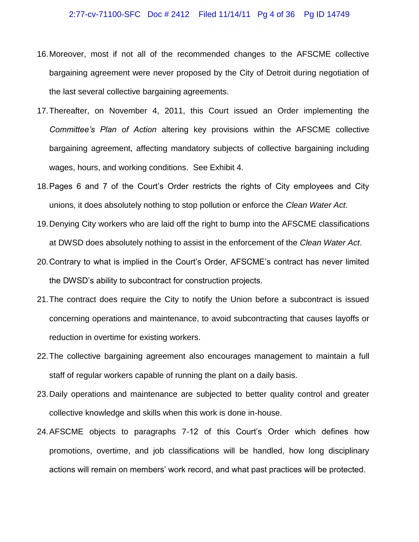### 2:77-cv-71100-SFC Doc # 2412 Filed 11/14/11 Pg 4 of 36 Pg ID 14749

- 16.Moreover, most if not all of the recommended changes to the AFSCME collective bargaining agreement were never proposed by the City of Detroit during negotiation of the last several collective bargaining agreements.
- 17.Thereafter, on November 4, 2011, this Court issued an Order implementing the *Committee's Plan of Action* altering key provisions within the AFSCME collective bargaining agreement, affecting mandatory subjects of collective bargaining including wages, hours, and working conditions. See Exhibit 4.
- 18.Pages 6 and 7 of the Court's Order restricts the rights of City employees and City unions, it does absolutely nothing to stop pollution or enforce the *Clean Water Act*.
- 19.Denying City workers who are laid off the right to bump into the AFSCME classifications at DWSD does absolutely nothing to assist in the enforcement of the *Clean Water Act*.
- 20.Contrary to what is implied in the Court's Order, AFSCME's contract has never limited the DWSD's ability to subcontract for construction projects.
- 21.The contract does require the City to notify the Union before a subcontract is issued concerning operations and maintenance, to avoid subcontracting that causes layoffs or reduction in overtime for existing workers.
- 22.The collective bargaining agreement also encourages management to maintain a full staff of regular workers capable of running the plant on a daily basis.
- 23.Daily operations and maintenance are subjected to better quality control and greater collective knowledge and skills when this work is done in-house.
- 24.AFSCME objects to paragraphs 7-12 of this Court's Order which defines how promotions, overtime, and job classifications will be handled, how long disciplinary actions will remain on members' work record, and what past practices will be protected.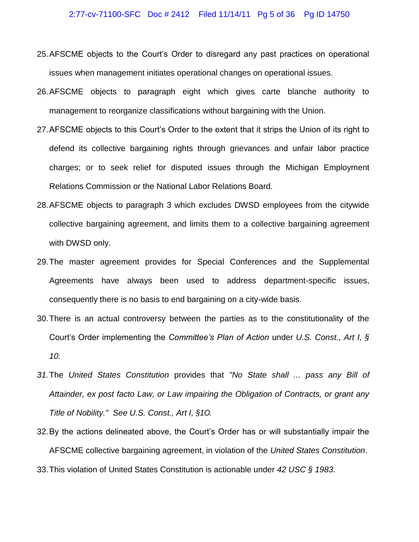#### 2:77-cv-71100-SFC Doc # 2412 Filed 11/14/11 Pg 5 of 36 Pg ID 14750

- 25.AFSCME objects to the Court's Order to disregard any past practices on operational issues when management initiates operational changes on operational issues.
- 26.AFSCME objects to paragraph eight which gives carte blanche authority to management to reorganize classifications without bargaining with the Union.
- 27.AFSCME objects to this Court's Order to the extent that it strips the Union of its right to defend its collective bargaining rights through grievances and unfair labor practice charges; or to seek relief for disputed issues through the Michigan Employment Relations Commission or the National Labor Relations Board.
- 28.AFSCME objects to paragraph 3 which excludes DWSD employees from the citywide collective bargaining agreement, and limits them to a collective bargaining agreement with DWSD only.
- 29.The master agreement provides for Special Conferences and the Supplemental Agreements have always been used to address department-specific issues, consequently there is no basis to end bargaining on a city-wide basis.
- 30.There is an actual controversy between the parties as to the constitutionality of the Court's Order implementing the *Committee's Plan of Action* under *U.S. Const., Art I, § 10.*
- *31.*The *United States Constitution* provides that *"No State shall ... pass any Bill of Attainder, ex post facto Law, or Law impairing the Obligation of Contracts, or grant any Title of Nobility." See U.S. Const., Art I, §1O.*
- 32.By the actions delineated above, the Court's Order has or will substantially impair the AFSCME collective bargaining agreement, in violation of the *United States Constitution*.
- 33.This violation of United States Constitution is actionable under *42 USC § 1983*.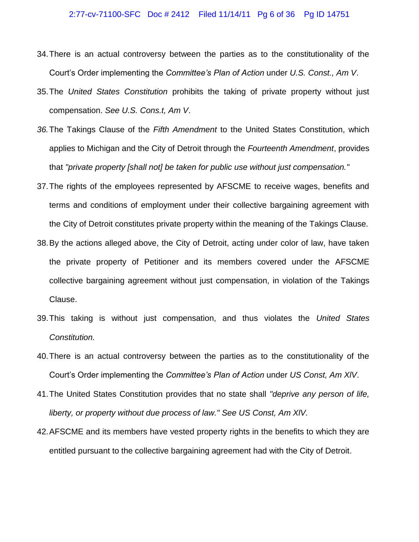#### 2:77-cv-71100-SFC Doc # 2412 Filed 11/14/11 Pg 6 of 36 Pg ID 14751

- 34.There is an actual controversy between the parties as to the constitutionality of the Court's Order implementing the *Committee's Plan of Action* under *U.S. Const., Am V*.
- 35.The *United States Constitution* prohibits the taking of private property without just compensation. *See U.S. Cons.t, Am V*.
- *36.*The Takings Clause of the *Fifth Amendment* to the United States Constitution, which applies to Michigan and the City of Detroit through the *Fourteenth Amendment*, provides that *"private property [shall not] be taken for public use without just compensation."*
- 37.The rights of the employees represented by AFSCME to receive wages, benefits and terms and conditions of employment under their collective bargaining agreement with the City of Detroit constitutes private property within the meaning of the Takings Clause.
- 38.By the actions alleged above, the City of Detroit, acting under color of law, have taken the private property of Petitioner and its members covered under the AFSCME collective bargaining agreement without just compensation, in violation of the Takings Clause.
- 39.This taking is without just compensation, and thus violates the *United States Constitution.*
- 40.There is an actual controversy between the parties as to the constitutionality of the Court's Order implementing the *Committee's Plan of Action* under *US Const, Am XlV*.
- 41.The United States Constitution provides that no state shall *"deprive any person of life, liberty, or property without due process of law." See US Const, Am XlV.*
- 42.AFSCME and its members have vested property rights in the benefits to which they are entitled pursuant to the collective bargaining agreement had with the City of Detroit.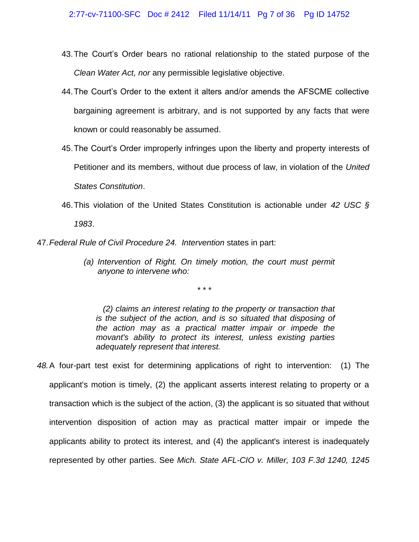- 43.The Court's Order bears no rational relationship to the stated purpose of the *Clean Water Act, nor* any permissible legislative objective.
- 44.The Court's Order to the extent it alters and/or amends the AFSCME collective bargaining agreement is arbitrary, and is not supported by any facts that were known or could reasonably be assumed.
- 45.The Court's Order improperly infringes upon the liberty and property interests of Petitioner and its members, without due process of law, in violation of the *United States Constitution*.
- 46.This violation of the United States Constitution is actionable under *42 USC § 1983*.
- 47.*Federal Rule of Civil Procedure 24. Intervention* states in part:
	- *(a) Intervention of Right. On timely motion, the court must permit anyone to intervene who:*

*\* \* \**

 *(2) claims an interest relating to the property or transaction that is the subject of the action, and is so situated that disposing of the action may as a practical matter impair or impede the movant's ability to protect its interest, unless existing parties adequately represent that interest.*

*48.*A four-part test exist for determining applications of right to intervention: (1) The applicant's motion is timely, (2) the applicant asserts interest relating to property or a transaction which is the subject of the action, (3) the applicant is so situated that without intervention disposition of action may as practical matter impair or impede the applicants ability to protect its interest, and (4) the applicant's interest is inadequately represented by other parties. See *Mich. State AFL-CIO v. Miller, 103 F.3d 1240, 1245*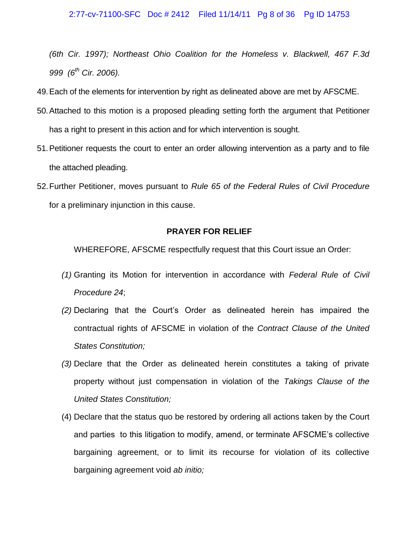#### 2:77-cv-71100-SFC Doc # 2412 Filed 11/14/11 Pg 8 of 36 Pg ID 14753

*(6th Cir. 1997); Northeast Ohio Coalition for the Homeless v. Blackwell, 467 F.3d 999 (6th Cir. 2006).*

- 49.Each of the elements for intervention by right as delineated above are met by AFSCME.
- 50.Attached to this motion is a proposed pleading setting forth the argument that Petitioner has a right to present in this action and for which intervention is sought.
- 51.Petitioner requests the court to enter an order allowing intervention as a party and to file the attached pleading.
- 52.Further Petitioner, moves pursuant to *Rule 65 of the Federal Rules of Civil Procedure* for a preliminary injunction in this cause.

#### **PRAYER FOR RELIEF**

WHEREFORE, AFSCME respectfully request that this Court issue an Order:

- *(1)* Granting its Motion for intervention in accordance with *Federal Rule of Civil Procedure 24*;
- *(2)* Declaring that the Court's Order as delineated herein has impaired the contractual rights of AFSCME in violation of the *Contract Clause of the United States Constitution;*
- *(3)* Declare that the Order as delineated herein constitutes a taking of private property without just compensation in violation of the *Takings Clause of the United States Constitution;*
- (4) Declare that the status quo be restored by ordering all actions taken by the Court and parties to this litigation to modify, amend, or terminate AFSCME's collective bargaining agreement, or to limit its recourse for violation of its collective bargaining agreement void *ab initio;*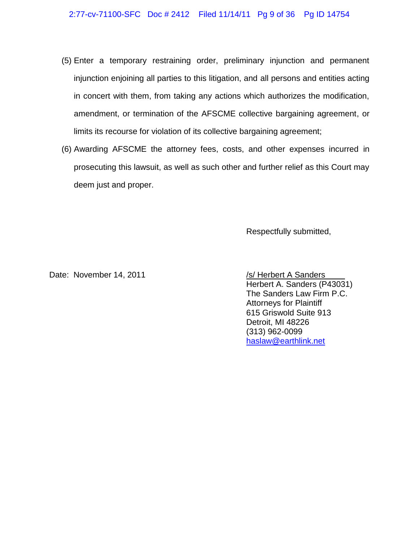#### 2:77-cv-71100-SFC Doc # 2412 Filed 11/14/11 Pg 9 of 36 Pg ID 14754

- (5) Enter a temporary restraining order, preliminary injunction and permanent injunction enjoining all parties to this litigation, and all persons and entities acting in concert with them, from taking any actions which authorizes the modification, amendment, or termination of the AFSCME collective bargaining agreement, or limits its recourse for violation of its collective bargaining agreement;
- (6) Awarding AFSCME the attorney fees, costs, and other expenses incurred in prosecuting this lawsuit, as well as such other and further relief as this Court may deem just and proper.

Respectfully submitted,

Date: November 14, 2011 /s/ Herbert A Sanders

Herbert A. Sanders (P43031) The Sanders Law Firm P.C. Attorneys for Plaintiff 615 Griswold Suite 913 Detroit, MI 48226 (313) 962-0099 [haslaw@earthlink.net](mailto:haslaw@earthlink.net)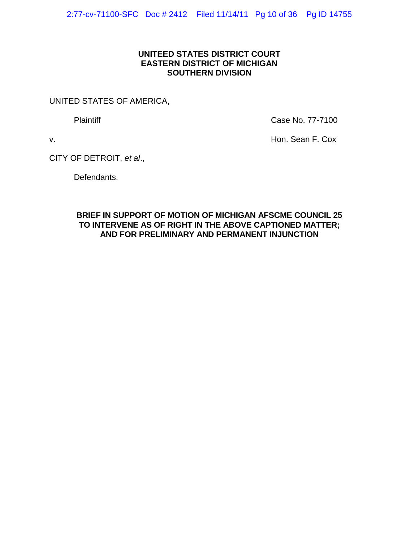### **UNITEED STATES DISTRICT COURT EASTERN DISTRICT OF MICHIGAN SOUTHERN DIVISION**

UNITED STATES OF AMERICA,

Plaintiff Case No. 77-7100

v. **Hon. Sean F. Cox** 

CITY OF DETROIT, *et al*.,

Defendants.

### **BRIEF IN SUPPORT OF MOTION OF MICHIGAN AFSCME COUNCIL 25 TO INTERVENE AS OF RIGHT IN THE ABOVE CAPTIONED MATTER; AND FOR PRELIMINARY AND PERMANENT INJUNCTION**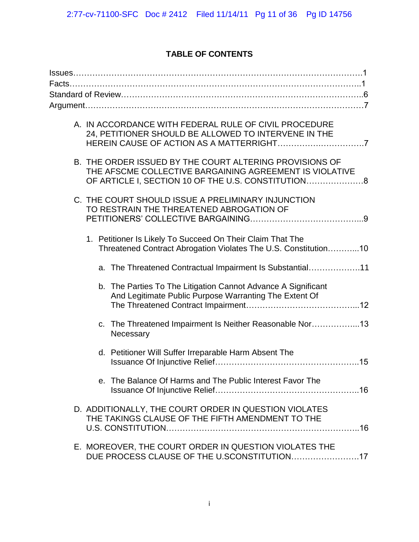# **TABLE OF CONTENTS**

| A. IN ACCORDANCE WITH FEDERAL RULE OF CIVIL PROCEDURE<br>24, PETITIONER SHOULD BE ALLOWED TO INTERVENE IN THE                                                            |
|--------------------------------------------------------------------------------------------------------------------------------------------------------------------------|
| B. THE ORDER ISSUED BY THE COURT ALTERING PROVISIONS OF<br>THE AFSCME COLLECTIVE BARGAINING AGREEMENT IS VIOLATIVE<br>OF ARTICLE I, SECTION 10 OF THE U.S. CONSTITUTION8 |
| C. THE COURT SHOULD ISSUE A PRELIMINARY INJUNCTION<br>TO RESTRAIN THE THREATENED ABROGATION OF                                                                           |
| 1. Petitioner Is Likely To Succeed On Their Claim That The<br>Threatened Contract Abrogation Violates The U.S. Constitution10                                            |
| a. The Threatened Contractual Impairment Is Substantial11                                                                                                                |
| b. The Parties To The Litigation Cannot Advance A Significant<br>And Legitimate Public Purpose Warranting The Extent Of                                                  |
| The Threatened Impairment Is Neither Reasonable Nor13<br>C.<br>Necessary                                                                                                 |
| d. Petitioner Will Suffer Irreparable Harm Absent The                                                                                                                    |
| e. The Balance Of Harms and The Public Interest Favor The                                                                                                                |
| D. ADDITIONALLY, THE COURT ORDER IN QUESTION VIOLATES<br>THE TAKINGS CLAUSE OF THE FIFTH AMENDMENT TO THE                                                                |
| E. MOREOVER, THE COURT ORDER IN QUESTION VIOLATES THE                                                                                                                    |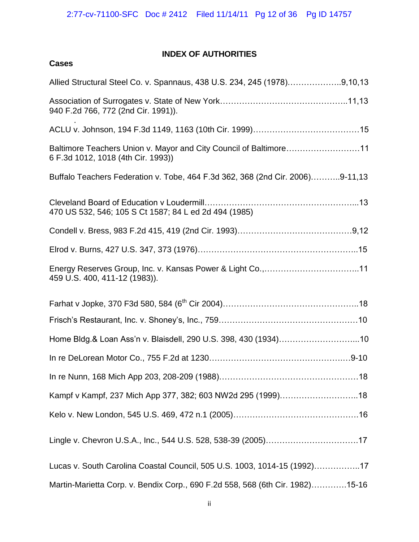## **INDEX OF AUTHORITIES**

| <b>Cases</b>                                                                                            |
|---------------------------------------------------------------------------------------------------------|
| Allied Structural Steel Co. v. Spannaus, 438 U.S. 234, 245 (1978)9,10,13                                |
| 940 F.2d 766, 772 (2nd Cir. 1991)).                                                                     |
|                                                                                                         |
| Baltimore Teachers Union v. Mayor and City Council of Baltimore11<br>6 F.3d 1012, 1018 (4th Cir. 1993)) |
| Buffalo Teachers Federation v. Tobe, 464 F.3d 362, 368 (2nd Cir. 2006)9-11,13                           |
| 470 US 532, 546; 105 S Ct 1587; 84 L ed 2d 494 (1985)                                                   |
|                                                                                                         |
|                                                                                                         |
| 459 U.S. 400, 411-12 (1983)).                                                                           |
|                                                                                                         |
|                                                                                                         |
| Home Bldg.& Loan Ass'n v. Blaisdell, 290 U.S. 398, 430 (1934)10                                         |
|                                                                                                         |
|                                                                                                         |
| Kampf v Kampf, 237 Mich App 377, 382; 603 NW2d 295 (1999)18                                             |
|                                                                                                         |
| Lingle v. Chevron U.S.A., Inc., 544 U.S. 528, 538-39 (2005)17                                           |
| Lucas v. South Carolina Coastal Council, 505 U.S. 1003, 1014-15 (1992)17                                |
| Martin-Marietta Corp. v. Bendix Corp., 690 F.2d 558, 568 (6th Cir. 1982)15-16                           |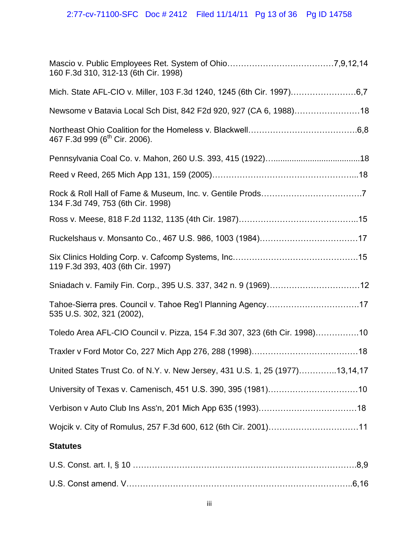# 2:77-cv-71100-SFC Doc # 2412 Filed 11/14/11 Pg 13 of 36 Pg ID 14758

| 160 F.3d 310, 312-13 (6th Cir. 1998)                                                     |
|------------------------------------------------------------------------------------------|
| Mich. State AFL-CIO v. Miller, 103 F.3d 1240, 1245 (6th Cir. 1997)6,7                    |
| Newsome v Batavia Local Sch Dist, 842 F2d 920, 927 (CA 6, 1988)18                        |
| 467 F.3d 999 (6 <sup>th</sup> Cir. 2006).                                                |
|                                                                                          |
|                                                                                          |
| 134 F.3d 749, 753 (6th Cir. 1998)                                                        |
|                                                                                          |
| Ruckelshaus v. Monsanto Co., 467 U.S. 986, 1003 (1984)17                                 |
| 119 F.3d 393, 403 (6th Cir. 1997)                                                        |
| Sniadach v. Family Fin. Corp., 395 U.S. 337, 342 n. 9 (1969)12                           |
| Tahoe-Sierra pres. Council v. Tahoe Reg'l Planning Agency17<br>535 U.S. 302, 321 (2002), |
| Toledo Area AFL-CIO Council v. Pizza, 154 F.3d 307, 323 (6th Cir. 1998)10                |
|                                                                                          |
| United States Trust Co. of N.Y. v. New Jersey, 431 U.S. 1, 25 (1977)13,14,17             |
| University of Texas v. Camenisch, 451 U.S. 390, 395 (1981)10                             |
|                                                                                          |
|                                                                                          |
| <b>Statutes</b>                                                                          |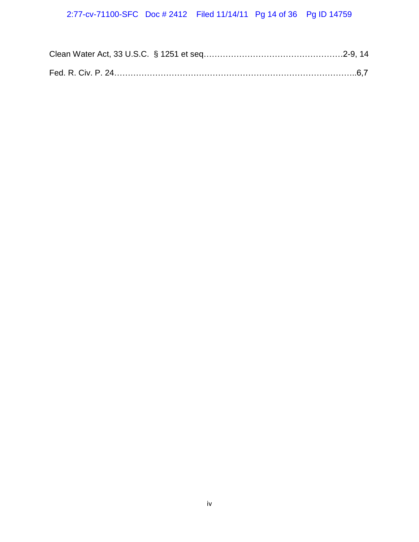# 2:77-cv-71100-SFC Doc # 2412 Filed 11/14/11 Pg 14 of 36 Pg ID 14759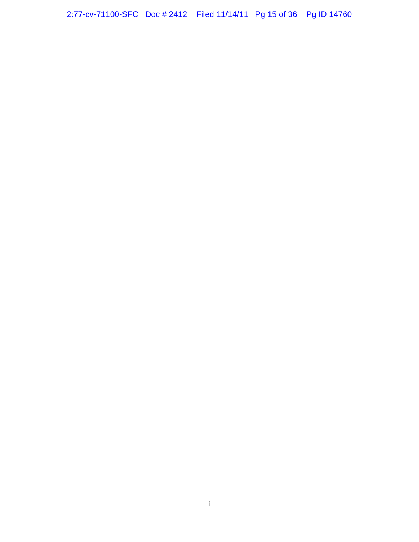2:77-cv-71100-SFC Doc # 2412 Filed 11/14/11 Pg 15 of 36 Pg ID 14760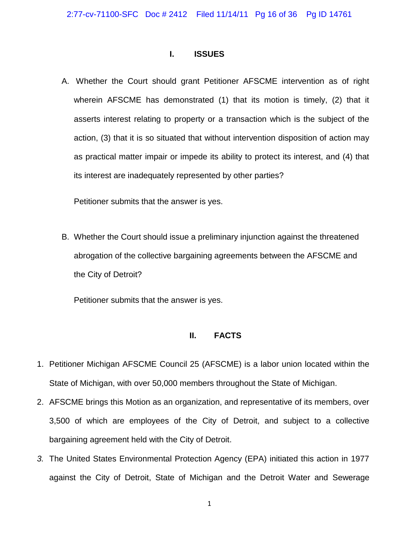### **I. ISSUES**

A. Whether the Court should grant Petitioner AFSCME intervention as of right wherein AFSCME has demonstrated (1) that its motion is timely, (2) that it asserts interest relating to property or a transaction which is the subject of the action, (3) that it is so situated that without intervention disposition of action may as practical matter impair or impede its ability to protect its interest, and (4) that its interest are inadequately represented by other parties?

Petitioner submits that the answer is yes.

B. Whether the Court should issue a preliminary injunction against the threatened abrogation of the collective bargaining agreements between the AFSCME and the City of Detroit?

Petitioner submits that the answer is yes.

### **II. FACTS**

- 1. Petitioner Michigan AFSCME Council 25 (AFSCME) is a labor union located within the State of Michigan, with over 50,000 members throughout the State of Michigan.
- 2. AFSCME brings this Motion as an organization, and representative of its members, over 3,500 of which are employees of the City of Detroit, and subject to a collective bargaining agreement held with the City of Detroit.
- *3.* The United States Environmental Protection Agency (EPA) initiated this action in 1977 against the City of Detroit, State of Michigan and the Detroit Water and Sewerage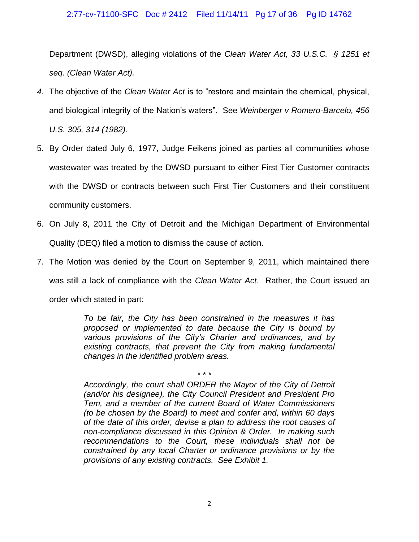### 2:77-cv-71100-SFC Doc # 2412 Filed 11/14/11 Pg 17 of 36 Pg ID 14762

Department (DWSD), alleging violations of the *Clean Water Act, 33 U.S.C. § 1251 et seq. (Clean Water Act).*

- *4.* The objective of the *Clean Water Act* is to "restore and maintain the chemical, physical, and biological integrity of the Nation's waters". See *Weinberger v Romero-Barcelo, 456 U.S. 305, 314 (1982).*
- 5. By Order dated July 6, 1977, Judge Feikens joined as parties all communities whose wastewater was treated by the DWSD pursuant to either First Tier Customer contracts with the DWSD or contracts between such First Tier Customers and their constituent community customers.
- 6. On July 8, 2011 the City of Detroit and the Michigan Department of Environmental Quality (DEQ) filed a motion to dismiss the cause of action.
- 7. The Motion was denied by the Court on September 9, 2011, which maintained there was still a lack of compliance with the *Clean Water Act*. Rather, the Court issued an order which stated in part:

*To be fair, the City has been constrained in the measures it has proposed or implemented to date because the City is bound by various provisions of the City's Charter and ordinances, and by existing contracts, that prevent the City from making fundamental changes in the identified problem areas.* 

*\* \* \** 

*Accordingly, the court shall ORDER the Mayor of the City of Detroit (and/or his designee), the City Council President and President Pro Tem, and a member of the current Board of Water Commissioners (to be chosen by the Board) to meet and confer and, within 60 days of the date of this order, devise a plan to address the root causes of non-compliance discussed in this Opinion & Order. In making such recommendations to the Court, these individuals shall not be constrained by any local Charter or ordinance provisions or by the provisions of any existing contracts. See Exhibit 1.*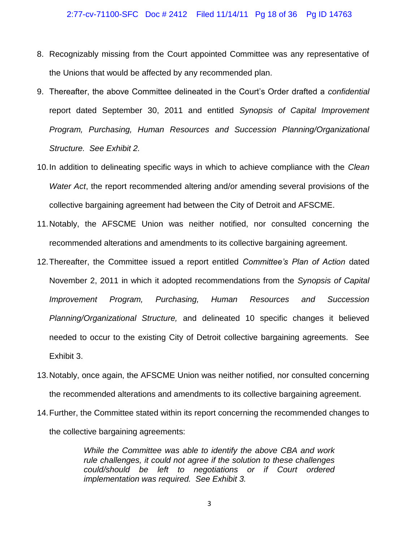#### 2:77-cv-71100-SFC Doc # 2412 Filed 11/14/11 Pg 18 of 36 Pg ID 14763

- 8. Recognizably missing from the Court appointed Committee was any representative of the Unions that would be affected by any recommended plan.
- 9. Thereafter, the above Committee delineated in the Court's Order drafted a *confidential*  report dated September 30, 2011 and entitled *Synopsis of Capital Improvement Program, Purchasing, Human Resources and Succession Planning/Organizational Structure. See Exhibit 2.*
- 10.In addition to delineating specific ways in which to achieve compliance with the *Clean Water Act*, the report recommended altering and/or amending several provisions of the collective bargaining agreement had between the City of Detroit and AFSCME.
- 11.Notably, the AFSCME Union was neither notified, nor consulted concerning the recommended alterations and amendments to its collective bargaining agreement.
- 12.Thereafter, the Committee issued a report entitled *Committee's Plan of Action* dated November 2, 2011 in which it adopted recommendations from the *Synopsis of Capital Improvement Program, Purchasing, Human Resources and Succession Planning/Organizational Structure,* and delineated 10 specific changes it believed needed to occur to the existing City of Detroit collective bargaining agreements. See Exhibit 3.
- 13.Notably, once again, the AFSCME Union was neither notified, nor consulted concerning the recommended alterations and amendments to its collective bargaining agreement.
- 14.Further, the Committee stated within its report concerning the recommended changes to the collective bargaining agreements:

*While the Committee was able to identify the above CBA and work rule challenges, it could not agree if the solution to these challenges could/should be left to negotiations or if Court ordered implementation was required. See Exhibit 3.*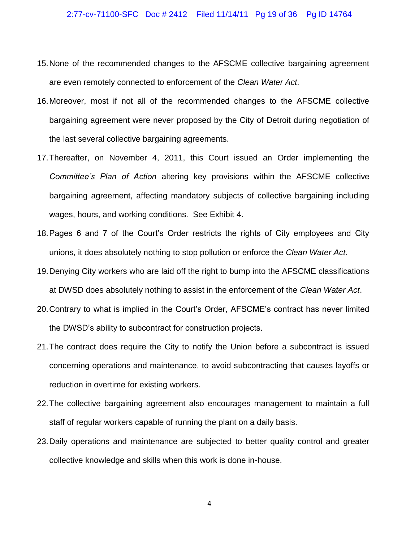#### 2:77-cv-71100-SFC Doc # 2412 Filed 11/14/11 Pg 19 of 36 Pg ID 14764

- 15.None of the recommended changes to the AFSCME collective bargaining agreement are even remotely connected to enforcement of the *Clean Water Act*.
- 16.Moreover, most if not all of the recommended changes to the AFSCME collective bargaining agreement were never proposed by the City of Detroit during negotiation of the last several collective bargaining agreements.
- 17.Thereafter, on November 4, 2011, this Court issued an Order implementing the *Committee's Plan of Action* altering key provisions within the AFSCME collective bargaining agreement, affecting mandatory subjects of collective bargaining including wages, hours, and working conditions. See Exhibit 4.
- 18.Pages 6 and 7 of the Court's Order restricts the rights of City employees and City unions, it does absolutely nothing to stop pollution or enforce the *Clean Water Act*.
- 19.Denying City workers who are laid off the right to bump into the AFSCME classifications at DWSD does absolutely nothing to assist in the enforcement of the *Clean Water Act*.
- 20.Contrary to what is implied in the Court's Order, AFSCME's contract has never limited the DWSD's ability to subcontract for construction projects.
- 21.The contract does require the City to notify the Union before a subcontract is issued concerning operations and maintenance, to avoid subcontracting that causes layoffs or reduction in overtime for existing workers.
- 22.The collective bargaining agreement also encourages management to maintain a full staff of regular workers capable of running the plant on a daily basis.
- 23.Daily operations and maintenance are subjected to better quality control and greater collective knowledge and skills when this work is done in-house.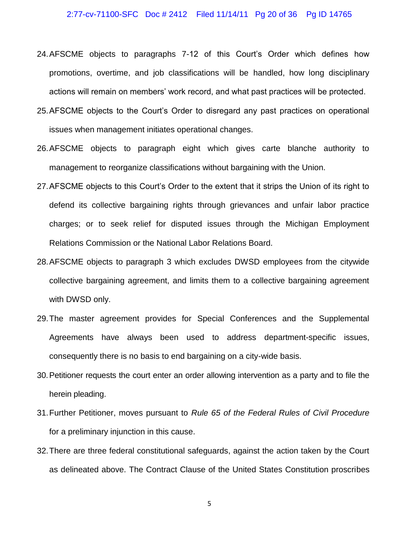### 2:77-cv-71100-SFC Doc # 2412 Filed 11/14/11 Pg 20 of 36 Pg ID 14765

- 24.AFSCME objects to paragraphs 7-12 of this Court's Order which defines how promotions, overtime, and job classifications will be handled, how long disciplinary actions will remain on members' work record, and what past practices will be protected.
- 25.AFSCME objects to the Court's Order to disregard any past practices on operational issues when management initiates operational changes.
- 26.AFSCME objects to paragraph eight which gives carte blanche authority to management to reorganize classifications without bargaining with the Union.
- 27.AFSCME objects to this Court's Order to the extent that it strips the Union of its right to defend its collective bargaining rights through grievances and unfair labor practice charges; or to seek relief for disputed issues through the Michigan Employment Relations Commission or the National Labor Relations Board.
- 28.AFSCME objects to paragraph 3 which excludes DWSD employees from the citywide collective bargaining agreement, and limits them to a collective bargaining agreement with DWSD only.
- 29.The master agreement provides for Special Conferences and the Supplemental Agreements have always been used to address department-specific issues, consequently there is no basis to end bargaining on a city-wide basis.
- 30.Petitioner requests the court enter an order allowing intervention as a party and to file the herein pleading.
- 31.Further Petitioner, moves pursuant to *Rule 65 of the Federal Rules of Civil Procedure* for a preliminary injunction in this cause.
- 32.There are three federal constitutional safeguards, against the action taken by the Court as delineated above. The Contract Clause of the United States Constitution proscribes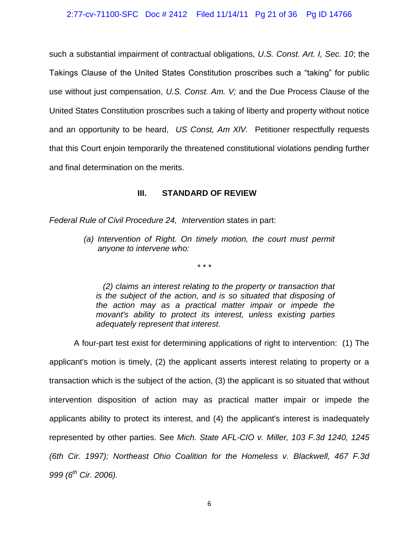#### 2:77-cv-71100-SFC Doc # 2412 Filed 11/14/11 Pg 21 of 36 Pg ID 14766

such a substantial impairment of contractual obligations, *U.S. Const. Art. I, Sec. 10*; the Takings Clause of the United States Constitution proscribes such a "taking" for public use without just compensation, *U.S. Const. Am. V;* and the Due Process Clause of the United States Constitution proscribes such a taking of liberty and property without notice and an opportunity to be heard, *US Const, Am XlV.* Petitioner respectfully requests that this Court enjoin temporarily the threatened constitutional violations pending further and final determination on the merits.

### **III. STANDARD OF REVIEW**

*Federal Rule of Civil Procedure 24, Intervention* states in part:

*(a) Intervention of Right. On timely motion, the court must permit anyone to intervene who:*

*\* \* \**

 *(2) claims an interest relating to the property or transaction that is the subject of the action, and is so situated that disposing of the action may as a practical matter impair or impede the movant's ability to protect its interest, unless existing parties adequately represent that interest.*

A four-part test exist for determining applications of right to intervention: (1) The applicant's motion is timely, (2) the applicant asserts interest relating to property or a transaction which is the subject of the action, (3) the applicant is so situated that without intervention disposition of action may as practical matter impair or impede the applicants ability to protect its interest, and (4) the applicant's interest is inadequately represented by other parties. See *Mich. State AFL-CIO v. Miller, 103 F.3d 1240, 1245 (6th Cir. 1997); Northeast Ohio Coalition for the Homeless v. Blackwell, 467 F.3d 999 (6th Cir. 2006).*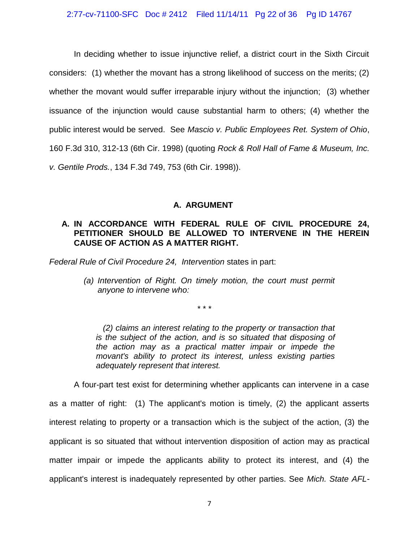#### 2:77-cv-71100-SFC Doc # 2412 Filed 11/14/11 Pg 22 of 36 Pg ID 14767

In deciding whether to issue injunctive relief, a district court in the Sixth Circuit considers: (1) whether the movant has a strong likelihood of success on the merits; (2) whether the movant would suffer irreparable injury without the injunction; (3) whether issuance of the injunction would cause substantial harm to others; (4) whether the public interest would be served. See *Mascio v. Public Employees Ret. System of Ohio*, 160 F.3d 310, 312-13 (6th Cir. 1998) (quoting *Rock & Roll Hall of Fame & Museum, Inc. v. Gentile Prods.*, 134 F.3d 749, 753 (6th Cir. 1998)).

#### **A. ARGUMENT**

### **A. IN ACCORDANCE WITH FEDERAL RULE OF CIVIL PROCEDURE 24, PETITIONER SHOULD BE ALLOWED TO INTERVENE IN THE HEREIN CAUSE OF ACTION AS A MATTER RIGHT.**

*Federal Rule of Civil Procedure 24, Intervention* states in part:

*(a) Intervention of Right. On timely motion, the court must permit anyone to intervene who:*

*\* \* \**

 *(2) claims an interest relating to the property or transaction that is the subject of the action, and is so situated that disposing of the action may as a practical matter impair or impede the movant's ability to protect its interest, unless existing parties adequately represent that interest.*

A four-part test exist for determining whether applicants can intervene in a case as a matter of right: (1) The applicant's motion is timely, (2) the applicant asserts interest relating to property or a transaction which is the subject of the action, (3) the applicant is so situated that without intervention disposition of action may as practical matter impair or impede the applicants ability to protect its interest, and (4) the applicant's interest is inadequately represented by other parties. See *Mich. State AFL-*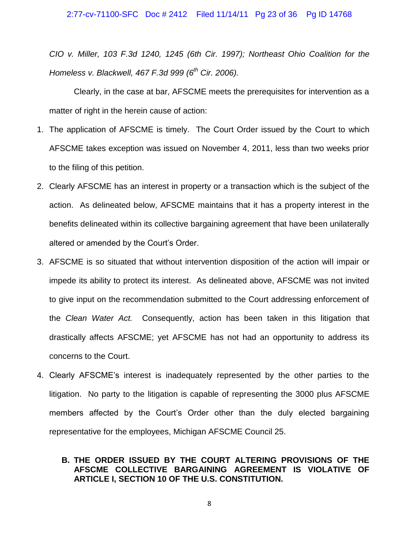*CIO v. Miller, 103 F.3d 1240, 1245 (6th Cir. 1997); Northeast Ohio Coalition for the Homeless v. Blackwell, 467 F.3d 999 (6th Cir. 2006).*

Clearly, in the case at bar, AFSCME meets the prerequisites for intervention as a matter of right in the herein cause of action:

- 1. The application of AFSCME is timely. The Court Order issued by the Court to which AFSCME takes exception was issued on November 4, 2011, less than two weeks prior to the filing of this petition.
- 2. Clearly AFSCME has an interest in property or a transaction which is the subject of the action. As delineated below, AFSCME maintains that it has a property interest in the benefits delineated within its collective bargaining agreement that have been unilaterally altered or amended by the Court's Order.
- 3. AFSCME is so situated that without intervention disposition of the action will impair or impede its ability to protect its interest. As delineated above, AFSCME was not invited to give input on the recommendation submitted to the Court addressing enforcement of the *Clean Water Act.* Consequently, action has been taken in this litigation that drastically affects AFSCME; yet AFSCME has not had an opportunity to address its concerns to the Court.
- 4. Clearly AFSCME's interest is inadequately represented by the other parties to the litigation. No party to the litigation is capable of representing the 3000 plus AFSCME members affected by the Court's Order other than the duly elected bargaining representative for the employees, Michigan AFSCME Council 25.

### **B. THE ORDER ISSUED BY THE COURT ALTERING PROVISIONS OF THE AFSCME COLLECTIVE BARGAINING AGREEMENT IS VIOLATIVE OF ARTICLE I, SECTION 10 OF THE U.S. CONSTITUTION.**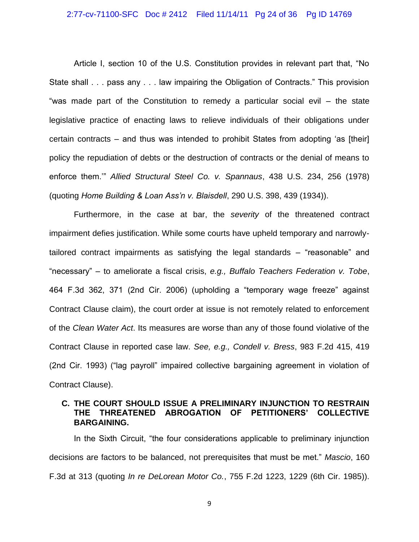#### 2:77-cv-71100-SFC Doc # 2412 Filed 11/14/11 Pg 24 of 36 Pg ID 14769

Article I, section 10 of the U.S. Constitution provides in relevant part that, "No State shall . . . pass any . . . law impairing the Obligation of Contracts." This provision "was made part of the Constitution to remedy a particular social evil – the state legislative practice of enacting laws to relieve individuals of their obligations under certain contracts – and thus was intended to prohibit States from adopting 'as [their] policy the repudiation of debts or the destruction of contracts or the denial of means to enforce them.'" *Allied Structural Steel Co. v. Spannaus*, 438 U.S. 234, 256 (1978) (quoting *Home Building & Loan Ass'n v. Blaisdell*, 290 U.S. 398, 439 (1934)).

Furthermore, in the case at bar, the *severity* of the threatened contract impairment defies justification. While some courts have upheld temporary and narrowlytailored contract impairments as satisfying the legal standards – "reasonable" and "necessary" – to ameliorate a fiscal crisis, *e.g., Buffalo Teachers Federation v. Tobe*, 464 F.3d 362, 371 (2nd Cir. 2006) (upholding a "temporary wage freeze" against Contract Clause claim), the court order at issue is not remotely related to enforcement of the *Clean Water Act*. Its measures are worse than any of those found violative of the Contract Clause in reported case law. *See, e.g., Condell v. Bress*, 983 F.2d 415, 419 (2nd Cir. 1993) ("lag payroll" impaired collective bargaining agreement in violation of Contract Clause).

### **C. THE COURT SHOULD ISSUE A PRELIMINARY INJUNCTION TO RESTRAIN THE THREATENED ABROGATION OF PETITIONERS' COLLECTIVE BARGAINING.**

In the Sixth Circuit, "the four considerations applicable to preliminary injunction decisions are factors to be balanced, not prerequisites that must be met." *Mascio*, 160 F.3d at 313 (quoting *In re DeLorean Motor Co.*, 755 F.2d 1223, 1229 (6th Cir. 1985)).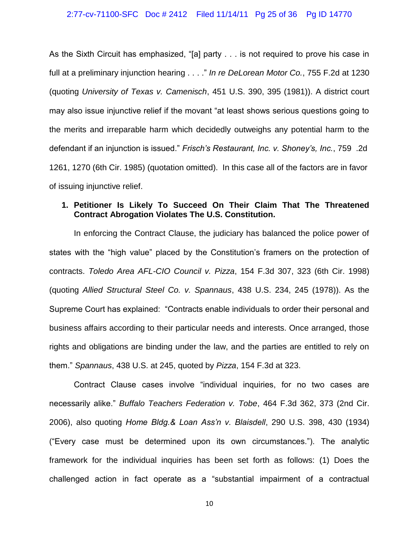#### 2:77-cv-71100-SFC Doc # 2412 Filed 11/14/11 Pg 25 of 36 Pg ID 14770

As the Sixth Circuit has emphasized, "[a] party . . . is not required to prove his case in full at a preliminary injunction hearing . . . ." *In re DeLorean Motor Co.*, 755 F.2d at 1230 (quoting *University of Texas v. Camenisch*, 451 U.S. 390, 395 (1981)). A district court may also issue injunctive relief if the movant "at least shows serious questions going to the merits and irreparable harm which decidedly outweighs any potential harm to the defendant if an injunction is issued." *Frisch's Restaurant, Inc. v. Shoney's, Inc.*, 759 .2d 1261, 1270 (6th Cir. 1985) (quotation omitted). In this case all of the factors are in favor of issuing injunctive relief.

### **1. Petitioner Is Likely To Succeed On Their Claim That The Threatened Contract Abrogation Violates The U.S. Constitution.**

In enforcing the Contract Clause, the judiciary has balanced the police power of states with the "high value" placed by the Constitution's framers on the protection of contracts. *Toledo Area AFL-CIO Council v. Pizza*, 154 F.3d 307, 323 (6th Cir. 1998) (quoting *Allied Structural Steel Co. v. Spannaus*, 438 U.S. 234, 245 (1978)). As the Supreme Court has explained: "Contracts enable individuals to order their personal and business affairs according to their particular needs and interests. Once arranged, those rights and obligations are binding under the law, and the parties are entitled to rely on them." *Spannaus*, 438 U.S. at 245, quoted by *Pizza*, 154 F.3d at 323.

Contract Clause cases involve "individual inquiries, for no two cases are necessarily alike." *Buffalo Teachers Federation v. Tobe*, 464 F.3d 362, 373 (2nd Cir. 2006), also quoting *Home Bldg.& Loan Ass'n v. Blaisdell*, 290 U.S. 398, 430 (1934) ("Every case must be determined upon its own circumstances."). The analytic framework for the individual inquiries has been set forth as follows: (1) Does the challenged action in fact operate as a "substantial impairment of a contractual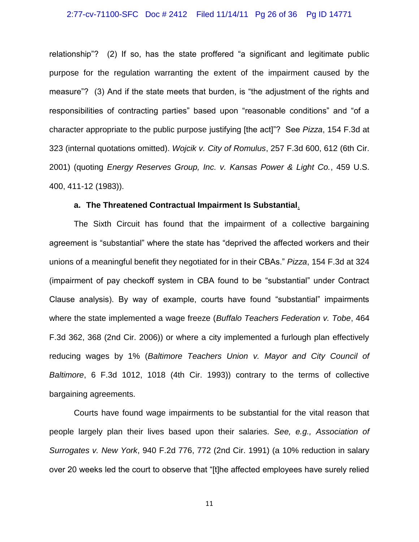#### 2:77-cv-71100-SFC Doc # 2412 Filed 11/14/11 Pg 26 of 36 Pg ID 14771

relationship"? (2) If so, has the state proffered "a significant and legitimate public purpose for the regulation warranting the extent of the impairment caused by the measure"? (3) And if the state meets that burden, is "the adjustment of the rights and responsibilities of contracting parties" based upon "reasonable conditions" and "of a character appropriate to the public purpose justifying [the act]"? See *Pizza*, 154 F.3d at 323 (internal quotations omitted). *Wojcik v. City of Romulus*, 257 F.3d 600, 612 (6th Cir. 2001) (quoting *Energy Reserves Group, Inc. v. Kansas Power & Light Co.*, 459 U.S. 400, 411-12 (1983)).

#### **a. The Threatened Contractual Impairment Is Substantial**.

The Sixth Circuit has found that the impairment of a collective bargaining agreement is "substantial" where the state has "deprived the affected workers and their unions of a meaningful benefit they negotiated for in their CBAs." *Pizza*, 154 F.3d at 324 (impairment of pay checkoff system in CBA found to be "substantial" under Contract Clause analysis). By way of example, courts have found "substantial" impairments where the state implemented a wage freeze (*Buffalo Teachers Federation v. Tobe*, 464 F.3d 362, 368 (2nd Cir. 2006)) or where a city implemented a furlough plan effectively reducing wages by 1% (*Baltimore Teachers Union v. Mayor and City Council of Baltimore*, 6 F.3d 1012, 1018 (4th Cir. 1993)) contrary to the terms of collective bargaining agreements.

Courts have found wage impairments to be substantial for the vital reason that people largely plan their lives based upon their salaries. *See, e.g., Association of Surrogates v. New York*, 940 F.2d 776, 772 (2nd Cir. 1991) (a 10% reduction in salary over 20 weeks led the court to observe that "[t]he affected employees have surely relied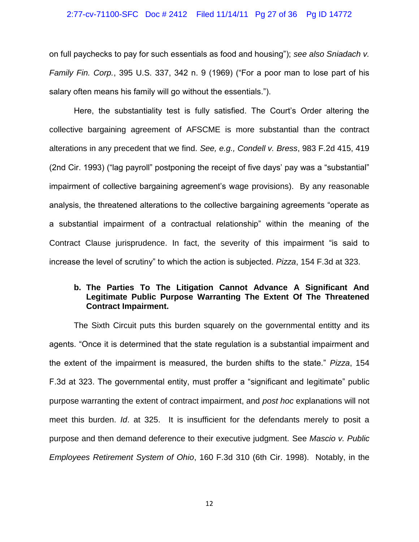#### 2:77-cv-71100-SFC Doc # 2412 Filed 11/14/11 Pg 27 of 36 Pg ID 14772

on full paychecks to pay for such essentials as food and housing"); *see also Sniadach v. Family Fin. Corp.*, 395 U.S. 337, 342 n. 9 (1969) ("For a poor man to lose part of his salary often means his family will go without the essentials.").

Here, the substantiality test is fully satisfied. The Court's Order altering the collective bargaining agreement of AFSCME is more substantial than the contract alterations in any precedent that we find. *See, e.g., Condell v. Bress*, 983 F.2d 415, 419 (2nd Cir. 1993) ("lag payroll" postponing the receipt of five days' pay was a "substantial" impairment of collective bargaining agreement's wage provisions). By any reasonable analysis, the threatened alterations to the collective bargaining agreements "operate as a substantial impairment of a contractual relationship" within the meaning of the Contract Clause jurisprudence. In fact, the severity of this impairment "is said to increase the level of scrutiny" to which the action is subjected. *Pizza*, 154 F.3d at 323.

### **b. The Parties To The Litigation Cannot Advance A Significant And Legitimate Public Purpose Warranting The Extent Of The Threatened Contract Impairment.**

The Sixth Circuit puts this burden squarely on the governmental entitty and its agents. "Once it is determined that the state regulation is a substantial impairment and the extent of the impairment is measured, the burden shifts to the state." *Pizza*, 154 F.3d at 323. The governmental entity, must proffer a "significant and legitimate" public purpose warranting the extent of contract impairment, and *post hoc* explanations will not meet this burden. *Id*. at 325. It is insufficient for the defendants merely to posit a purpose and then demand deference to their executive judgment. See *Mascio v. Public Employees Retirement System of Ohio*, 160 F.3d 310 (6th Cir. 1998). Notably, in the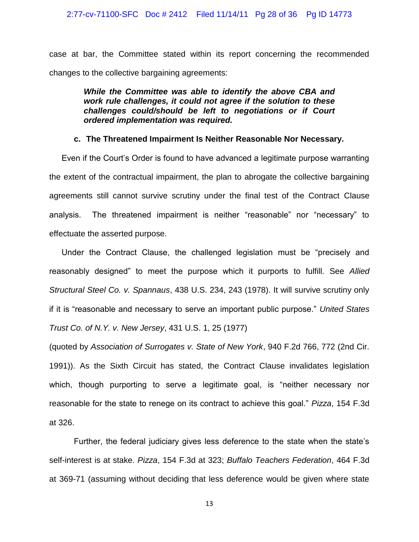#### 2:77-cv-71100-SFC Doc # 2412 Filed 11/14/11 Pg 28 of 36 Pg ID 14773

case at bar, the Committee stated within its report concerning the recommended changes to the collective bargaining agreements:

### *While the Committee was able to identify the above CBA and work rule challenges, it could not agree if the solution to these challenges could/should be left to negotiations or if Court ordered implementation was required.*

#### **c. The Threatened Impairment Is Neither Reasonable Nor Necessary.**

Even if the Court's Order is found to have advanced a legitimate purpose warranting the extent of the contractual impairment, the plan to abrogate the collective bargaining agreements still cannot survive scrutiny under the final test of the Contract Clause analysis. The threatened impairment is neither "reasonable" nor "necessary" to effectuate the asserted purpose.

Under the Contract Clause, the challenged legislation must be "precisely and reasonably designed" to meet the purpose which it purports to fulfill. See *Allied Structural Steel Co. v. Spannaus*, 438 U.S. 234, 243 (1978). It will survive scrutiny only if it is "reasonable and necessary to serve an important public purpose." *United States Trust Co. of N.Y. v. New Jersey*, 431 U.S. 1, 25 (1977)

(quoted by *Association of Surrogates v. State of New York*, 940 F.2d 766, 772 (2nd Cir. 1991)). As the Sixth Circuit has stated, the Contract Clause invalidates legislation which, though purporting to serve a legitimate goal, is "neither necessary nor reasonable for the state to renege on its contract to achieve this goal." *Pizza*, 154 F.3d at 326.

Further, the federal judiciary gives less deference to the state when the state's self-interest is at stake. *Pizza*, 154 F.3d at 323; *Buffalo Teachers Federation*, 464 F.3d at 369-71 (assuming without deciding that less deference would be given where state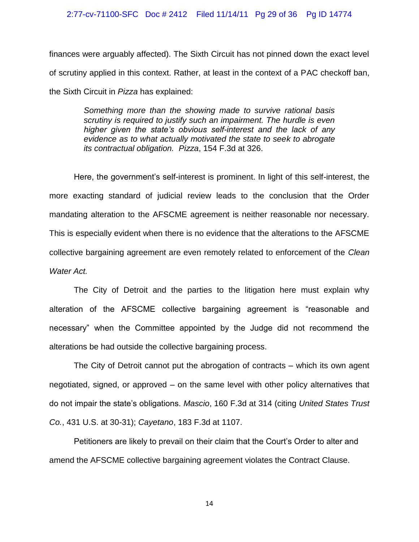#### 2:77-cv-71100-SFC Doc # 2412 Filed 11/14/11 Pg 29 of 36 Pg ID 14774

finances were arguably affected). The Sixth Circuit has not pinned down the exact level of scrutiny applied in this context. Rather, at least in the context of a PAC checkoff ban, the Sixth Circuit in *Pizza* has explained:

> *Something more than the showing made to survive rational basis scrutiny is required to justify such an impairment. The hurdle is even higher given the state's obvious self-interest and the lack of any evidence as to what actually motivated the state to seek to abrogate its contractual obligation. Pizza*, 154 F.3d at 326.

Here, the government's self-interest is prominent. In light of this self-interest, the more exacting standard of judicial review leads to the conclusion that the Order mandating alteration to the AFSCME agreement is neither reasonable nor necessary. This is especially evident when there is no evidence that the alterations to the AFSCME collective bargaining agreement are even remotely related to enforcement of the *Clean Water Act.*

The City of Detroit and the parties to the litigation here must explain why alteration of the AFSCME collective bargaining agreement is "reasonable and necessary" when the Committee appointed by the Judge did not recommend the alterations be had outside the collective bargaining process.

The City of Detroit cannot put the abrogation of contracts – which its own agent negotiated, signed, or approved – on the same level with other policy alternatives that do not impair the state's obligations. *Mascio*, 160 F.3d at 314 (citing *United States Trust Co.*, 431 U.S. at 30-31); *Cayetano*, 183 F.3d at 1107.

Petitioners are likely to prevail on their claim that the Court's Order to alter and amend the AFSCME collective bargaining agreement violates the Contract Clause.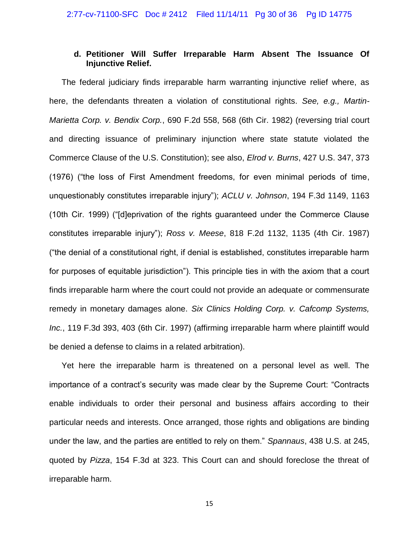### **d. Petitioner Will Suffer Irreparable Harm Absent The Issuance Of Injunctive Relief.**

The federal judiciary finds irreparable harm warranting injunctive relief where, as here, the defendants threaten a violation of constitutional rights. *See, e.g., Martin-Marietta Corp. v. Bendix Corp.*, 690 F.2d 558, 568 (6th Cir. 1982) (reversing trial court and directing issuance of preliminary injunction where state statute violated the Commerce Clause of the U.S. Constitution); see also, *Elrod v. Burns*, 427 U.S. 347, 373 (1976) ("the loss of First Amendment freedoms, for even minimal periods of time, unquestionably constitutes irreparable injury"); *ACLU v. Johnson*, 194 F.3d 1149, 1163 (10th Cir. 1999) ("[d]eprivation of the rights guaranteed under the Commerce Clause constitutes irreparable injury"); *Ross v. Meese*, 818 F.2d 1132, 1135 (4th Cir. 1987) ("the denial of a constitutional right, if denial is established, constitutes irreparable harm for purposes of equitable jurisdiction"). This principle ties in with the axiom that a court finds irreparable harm where the court could not provide an adequate or commensurate remedy in monetary damages alone. *Six Clinics Holding Corp. v. Cafcomp Systems, Inc.*, 119 F.3d 393, 403 (6th Cir. 1997) (affirming irreparable harm where plaintiff would be denied a defense to claims in a related arbitration).

Yet here the irreparable harm is threatened on a personal level as well. The importance of a contract's security was made clear by the Supreme Court: "Contracts enable individuals to order their personal and business affairs according to their particular needs and interests. Once arranged, those rights and obligations are binding under the law, and the parties are entitled to rely on them." *Spannaus*, 438 U.S. at 245, quoted by *Pizza*, 154 F.3d at 323. This Court can and should foreclose the threat of irreparable harm.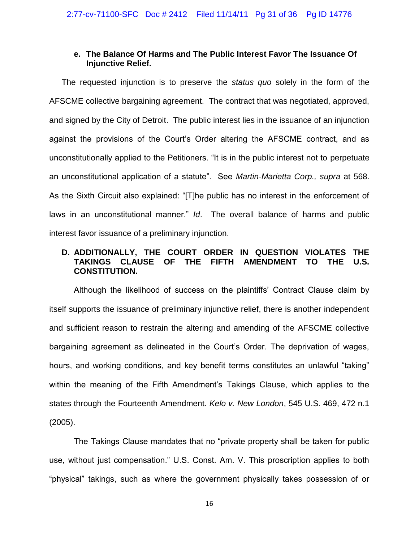### **e. The Balance Of Harms and The Public Interest Favor The Issuance Of Injunctive Relief.**

The requested injunction is to preserve the *status quo* solely in the form of the AFSCME collective bargaining agreement. The contract that was negotiated, approved, and signed by the City of Detroit. The public interest lies in the issuance of an injunction against the provisions of the Court's Order altering the AFSCME contract, and as unconstitutionally applied to the Petitioners. "It is in the public interest not to perpetuate an unconstitutional application of a statute". See *Martin-Marietta Corp., supra* at 568. As the Sixth Circuit also explained: "[T]he public has no interest in the enforcement of laws in an unconstitutional manner." *Id*. The overall balance of harms and public interest favor issuance of a preliminary injunction.

### **D. ADDITIONALLY, THE COURT ORDER IN QUESTION VIOLATES THE TAKINGS CLAUSE OF THE FIFTH AMENDMENT TO THE U.S. CONSTITUTION.**

Although the likelihood of success on the plaintiffs' Contract Clause claim by itself supports the issuance of preliminary injunctive relief, there is another independent and sufficient reason to restrain the altering and amending of the AFSCME collective bargaining agreement as delineated in the Court's Order. The deprivation of wages, hours, and working conditions, and key benefit terms constitutes an unlawful "taking" within the meaning of the Fifth Amendment's Takings Clause, which applies to the states through the Fourteenth Amendment. *Kelo v. New London*, 545 U.S. 469, 472 n.1 (2005).

The Takings Clause mandates that no "private property shall be taken for public use, without just compensation." U.S. Const. Am. V. This proscription applies to both "physical" takings, such as where the government physically takes possession of or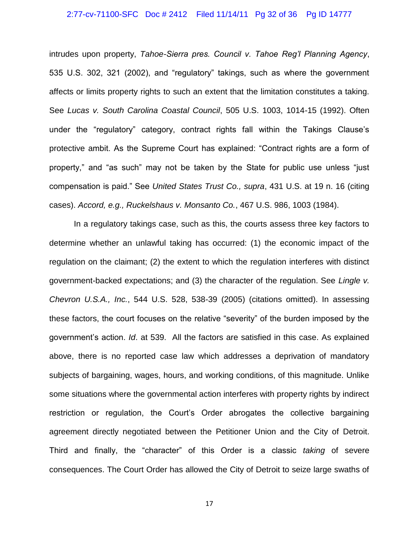### 2:77-cv-71100-SFC Doc # 2412 Filed 11/14/11 Pg 32 of 36 Pg ID 14777

intrudes upon property, *Tahoe-Sierra pres. Council v. Tahoe Reg'l Planning Agency*, 535 U.S. 302, 321 (2002), and "regulatory" takings, such as where the government affects or limits property rights to such an extent that the limitation constitutes a taking. See *Lucas v. South Carolina Coastal Council*, 505 U.S. 1003, 1014-15 (1992). Often under the "regulatory" category, contract rights fall within the Takings Clause's protective ambit. As the Supreme Court has explained: "Contract rights are a form of property," and "as such" may not be taken by the State for public use unless "just compensation is paid." See *United States Trust Co., supra*, 431 U.S. at 19 n. 16 (citing cases). *Accord, e.g., Ruckelshaus v. Monsanto Co.*, 467 U.S. 986, 1003 (1984).

In a regulatory takings case, such as this, the courts assess three key factors to determine whether an unlawful taking has occurred: (1) the economic impact of the regulation on the claimant; (2) the extent to which the regulation interferes with distinct government-backed expectations; and (3) the character of the regulation. See *Lingle v. Chevron U.S.A., Inc.*, 544 U.S. 528, 538-39 (2005) (citations omitted). In assessing these factors, the court focuses on the relative "severity" of the burden imposed by the government's action. *Id*. at 539. All the factors are satisfied in this case. As explained above, there is no reported case law which addresses a deprivation of mandatory subjects of bargaining, wages, hours, and working conditions, of this magnitude. Unlike some situations where the governmental action interferes with property rights by indirect restriction or regulation, the Court's Order abrogates the collective bargaining agreement directly negotiated between the Petitioner Union and the City of Detroit. Third and finally, the "character" of this Order is a classic *taking* of severe consequences. The Court Order has allowed the City of Detroit to seize large swaths of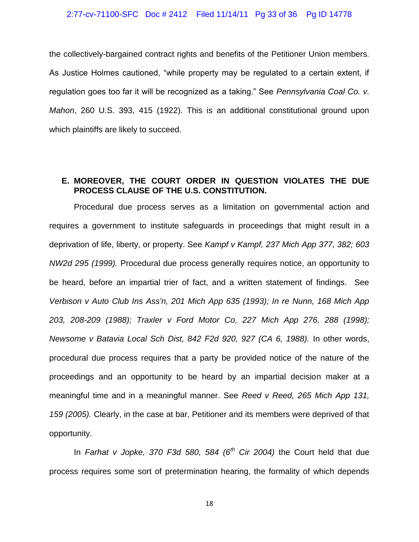#### 2:77-cv-71100-SFC Doc # 2412 Filed 11/14/11 Pg 33 of 36 Pg ID 14778

the collectively-bargained contract rights and benefits of the Petitioner Union members. As Justice Holmes cautioned, "while property may be regulated to a certain extent, if regulation goes too far it will be recognized as a taking." See *Pennsylvania Coal Co. v. Mahon*, 260 U.S. 393, 415 (1922). This is an additional constitutional ground upon which plaintiffs are likely to succeed.

### **E. MOREOVER, THE COURT ORDER IN QUESTION VIOLATES THE DUE PROCESS CLAUSE OF THE U.S. CONSTITUTION.**

Procedural due process serves as a limitation on governmental action and requires a government to institute safeguards in proceedings that might result in a deprivation of life, liberty, or property. See *Kampf v Kampf, 237 Mich App 377, 382; 603 NW2d 295 (1999).* Procedural due process generally requires notice, an opportunity to be heard, before an impartial trier of fact, and a written statement of findings. See *Verbison v Auto Club Ins Ass'n, 201 Mich App 635 (1993); In re Nunn, 168 Mich App 203, 208-209 (1988); Traxler v Ford Motor Co, 227 Mich App 276, 288 (1998); Newsome v Batavia Local Sch Dist, 842 F2d 920, 927 (CA 6, 1988).* In other words, procedural due process requires that a party be provided notice of the nature of the proceedings and an opportunity to be heard by an impartial decision maker at a meaningful time and in a meaningful manner. See *Reed v Reed, 265 Mich App 131, 159 (2005).* Clearly, in the case at bar, Petitioner and its members were deprived of that opportunity.

In *Farhat v Jopke, 370 F3d 580, 584 (6th Cir 2004)* the Court held that due process requires some sort of pretermination hearing, the formality of which depends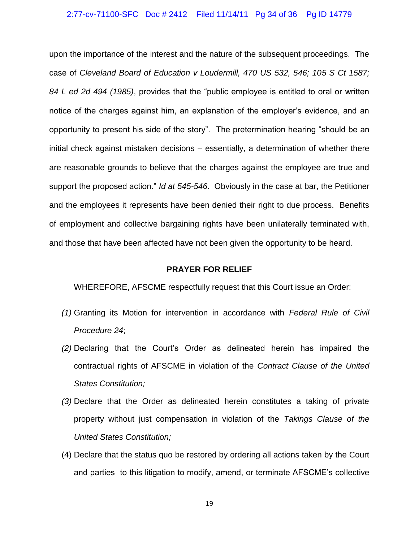#### 2:77-cv-71100-SFC Doc # 2412 Filed 11/14/11 Pg 34 of 36 Pg ID 14779

upon the importance of the interest and the nature of the subsequent proceedings. The case of *Cleveland Board of Education v Loudermill, 470 US 532, 546; 105 S Ct 1587; 84 L ed 2d 494 (1985)*, provides that the "public employee is entitled to oral or written notice of the charges against him, an explanation of the employer's evidence, and an opportunity to present his side of the story". The pretermination hearing "should be an initial check against mistaken decisions – essentially, a determination of whether there are reasonable grounds to believe that the charges against the employee are true and support the proposed action." *Id at 545-546*. Obviously in the case at bar, the Petitioner and the employees it represents have been denied their right to due process. Benefits of employment and collective bargaining rights have been unilaterally terminated with, and those that have been affected have not been given the opportunity to be heard.

#### **PRAYER FOR RELIEF**

WHEREFORE, AFSCME respectfully request that this Court issue an Order:

- *(1)* Granting its Motion for intervention in accordance with *Federal Rule of Civil Procedure 24*;
- *(2)* Declaring that the Court's Order as delineated herein has impaired the contractual rights of AFSCME in violation of the *Contract Clause of the United States Constitution;*
- *(3)* Declare that the Order as delineated herein constitutes a taking of private property without just compensation in violation of the *Takings Clause of the United States Constitution;*
- (4) Declare that the status quo be restored by ordering all actions taken by the Court and parties to this litigation to modify, amend, or terminate AFSCME's collective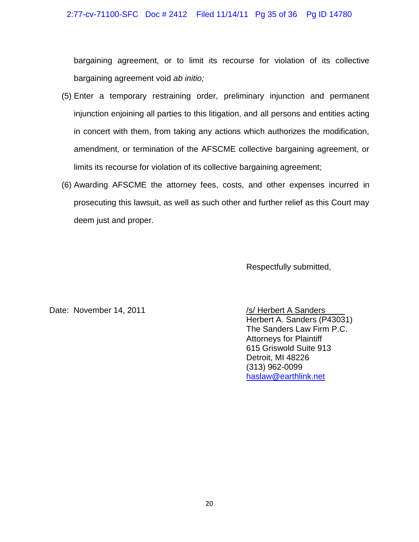### 2:77-cv-71100-SFC Doc # 2412 Filed 11/14/11 Pg 35 of 36 Pg ID 14780

bargaining agreement, or to limit its recourse for violation of its collective bargaining agreement void *ab initio;* 

- (5) Enter a temporary restraining order, preliminary injunction and permanent injunction enjoining all parties to this litigation, and all persons and entities acting in concert with them, from taking any actions which authorizes the modification, amendment, or termination of the AFSCME collective bargaining agreement, or limits its recourse for violation of its collective bargaining agreement;
- (6) Awarding AFSCME the attorney fees, costs, and other expenses incurred in prosecuting this lawsuit, as well as such other and further relief as this Court may deem just and proper.

Respectfully submitted,

Date: November 14, 2011 /s/ Herbert A Sanders

Herbert A. Sanders (P43031) The Sanders Law Firm P.C. Attorneys for Plaintiff 615 Griswold Suite 913 Detroit, MI 48226 (313) 962-0099 [haslaw@earthlink.net](mailto:haslaw@earthlink.net)